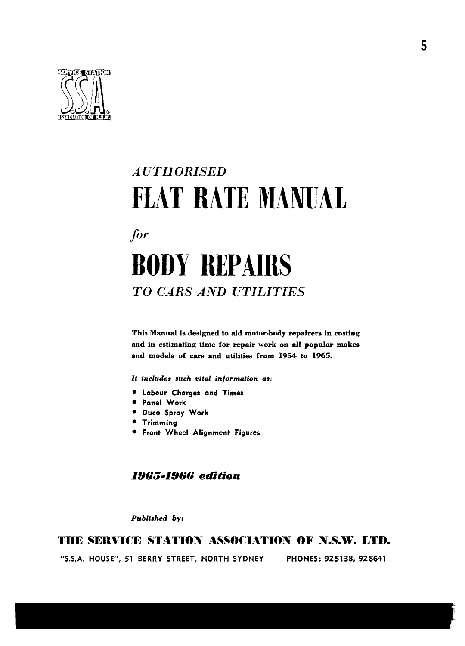

# *AUTHORISED* FLAT RATE MANUAL

for

# **BODY REPAIRS TO CARS AND UTILITIES**

This Manual is designed to aid motor-body repairers in costing and in estimating time for repair work on all popular makes and models of cars and utilities from 1954 to 1965.

It includes such vital information as:

- · Labour Charges and Times
- · Panel Work
- · Duco Spray Work
- **Trimming**
- **.** Front Wheel Alignment Figures

## **1965-1966 edition**

Published by:

### THE SERVICE STATION ASSOCIATION OF N.S.W. LTD.

"S.S.A. HOUSE", 51 BERRY STREET, NORTH SYDNEY PHONES: 925138, 928641 5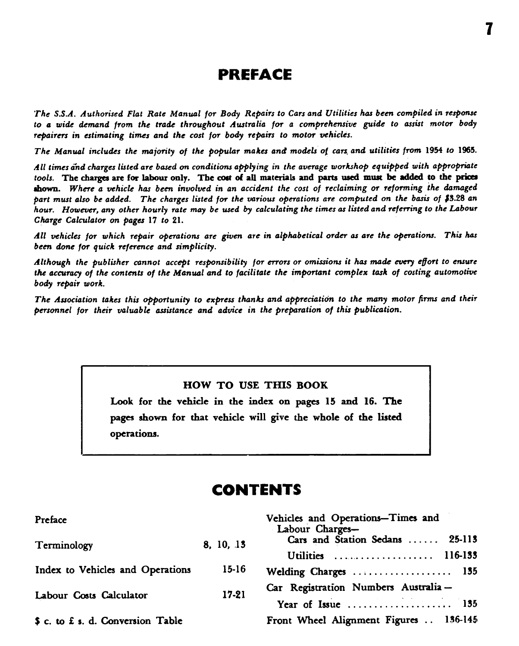# PREFACE

The S.S.A. Authorised Flat Rate Manual for Body Repairs to Cars and Utilities has been compiled in response to a wide demand from the trade throughout Australia for a comprehensive guide to assist motor body repairers in estimating times and the cost for body repairs to motor vehicles.

The Manual includes the majority of the popular makes and models of cars and utilities from 1954 to 1965.

All times and charges listed are based on conditions applying in the average workshop equipped with appropriate tools. The charges are for labour only. The cost of all materials and parts used must be added to the prices shown. Where a vehicle has been involved in an accident the cost of reclaiming or reforming the damaged part must also be added. The charges listed for the various operations are computed on the basis of \$3.28 an hour. However, any other hourly rate may be used by calculating the times as listed and referring to the Labour Charge Calculator on pages 17 to 21.

All vehicles for which repair operations are given are in alphabetical order as are the operations. This has been done for quick reference and simplicity.

Although the publisher cannot accept responsibility for errors or omissions it has made every effort to ensure the accuracy of the contents of the Manual and to facilitate the important complex task of costing automotive body repair work.

The Association takes this opportunity to express thanks and appreciation to the many motor firms and their personnel for their valuable assistance and advice in the preparation of this publication.

#### HOW TO USE THIS BOOK

Look for the vehicle in the index on pages 15 and 16. The pages shown for that vehicle will give the whole of the listed operations.

# **CONTENTS**

| Preface                           |           | Vehicles and Operations–Times and<br>Labour Charges- |
|-----------------------------------|-----------|------------------------------------------------------|
| Terminology                       | 8, 10, 13 | Cars and Station Sedans  25-113                      |
|                                   |           | Utilities  116-133                                   |
| Index to Vehicles and Operations  | $15-16$   | Welding Charges  135                                 |
| Labour Costs Calculator           | 17-21     | Car Registration Numbers Australia-                  |
|                                   |           | Year of Issue  135                                   |
| \$ c. to £ s. d. Conversion Table |           | Front Wheel Alignment Figures  136-145               |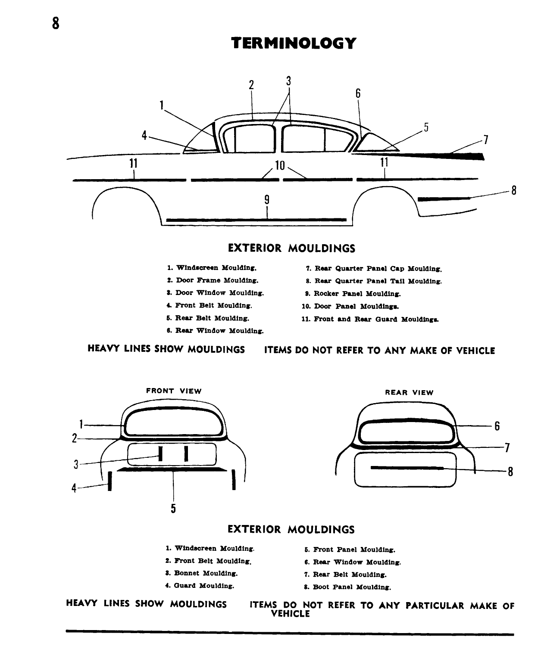# **TERMINOLOGY**



### **EXTERIOR MOULDINGS**

- 1. Windscreen Moulding.
- 2. Door Frame Moulding.
- 3. Door Window Moulding.
- 4. Front Belt Moulding.
- 5. Rear Belt Moulding.
- 6. Rear Window Moulding.
- 7. Rear Quarter Panel Cap Moulding.
- 8. Rear Quarter Panel Tail Moulding.
- 9. Rocker Panel Moulding.
- 10. Door Panel Mouldings.
- 11. Front and Rear Guard Mouldings.

**HEAVY LINES SHOW MOULDINGS** 

#### ITEMS DO NOT REFER TO ANY MAKE OF VEHICLE





#### **EXTERIOR MOULDINGS**

- 1. Windscreen Moulding.
- 2. Front Belt Moulding.
- 3. Bonnet Moulding.
- 4. Guard Moulding.
- 5. Front Panel Moulding.
- 6. Rear Window Moulding.
- 7. Rear Belt Moulding.
- 8. Boot Panel Moulding.

HEAVY LINES SHOW MOULDINGS

ITEMS DO NOT REFER TO ANY PARTICULAR MAKE OF **VEHICLE**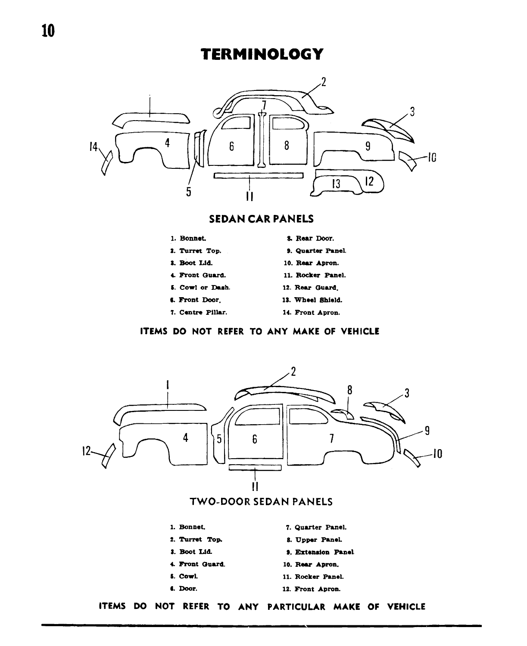# **TERMINOLOGY**



### **SEDAN CAR PANELS**



- 2. Turret Top.
- 3. Boot Lid.
- 4. Front Guard.
- 5. Cowl or Dash.
- 6. Front Door.
- 7. Centre Pillar.
- 9. Quarter Panel. 10. Rear Apron. 11. Rocker Panel.

8. Rear Door.

- 12. Rear Guard.
- 13. Wheel Shield.
- 14. Front Apron.

#### ITEMS DO NOT REFER TO ANY MAKE OF VEHICLE

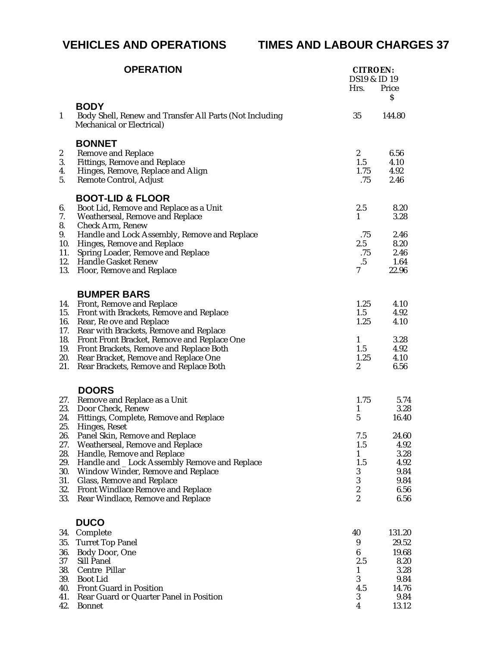# **VEHICLES AND OPERATIONS TIMES AND LABOUR CHARGES 37**

|                  | <b>OPERATION</b>                                                                                           | <b>CITROEN:</b><br>DS19 & ID 19<br>Hrs. | Price         |
|------------------|------------------------------------------------------------------------------------------------------------|-----------------------------------------|---------------|
|                  |                                                                                                            |                                         | S             |
| $\mathbf{1}$     | <b>BODY</b><br>Body Shell, Renew and Transfer All Parts (Not Including<br><b>Mechanical or Electrical)</b> | 35                                      | 144.80        |
|                  | <b>BONNET</b>                                                                                              |                                         |               |
| $\boldsymbol{2}$ | <b>Remove and Replace</b>                                                                                  | $\boldsymbol{2}$                        | 6.56          |
| 3.               | <b>Fittings, Remove and Replace</b>                                                                        | 1.5                                     | 4.10          |
| 4.               | Hinges, Remove, Replace and Align                                                                          | 1.75                                    | 4.92          |
| 5.               | Remote Control, Adjust                                                                                     | .75                                     | 2.46          |
|                  | <b>BOOT-LID &amp; FLOOR</b>                                                                                |                                         |               |
| 6.               | Boot Lid, Remove and Replace as a Unit                                                                     | 2.5                                     | 8.20          |
| 7.<br>8.         | <b>Weatherseal, Remove and Replace</b><br><b>Check Arm, Renew</b>                                          | 1                                       | 3.28          |
| 9.               | Handle and Lock Assembly, Remove and Replace                                                               | .75                                     | 2.46          |
| 10.              | Hinges, Remove and Replace                                                                                 | 2.5                                     | 8.20          |
| 11.              | <b>Spring Loader, Remove and Replace</b>                                                                   | .75                                     | 2.46          |
| 12.              | <b>Handle Gasket Renew</b>                                                                                 | $.5\,$                                  | 1.64          |
| 13.              | <b>Floor, Remove and Replace</b>                                                                           | 7                                       | 22.96         |
|                  | <b>BUMPER BARS</b>                                                                                         |                                         |               |
| 14.              | Front, Remove and Replace                                                                                  | 1.25                                    | 4.10          |
| 15.              | Front with Brackets, Remove and Replace                                                                    | 1.5                                     | 4.92          |
| 16.              | Rear, Re ove and Replace                                                                                   | 1.25                                    | 4.10          |
| 17.              | <b>Rear with Brackets, Remove and Replace</b>                                                              |                                         |               |
| 18.              | Front Front Bracket, Remove and Replace One                                                                | $\mathbf{1}$                            | 3.28          |
| 19.<br>20.       | Front Brackets, Remove and Replace Both<br>Rear Bracket, Remove and Replace One                            | 1.5<br>1.25                             | 4.92<br>4.10  |
| 21.              | Rear Brackets, Remove and Replace Both                                                                     | $\boldsymbol{2}$                        | 6.56          |
|                  |                                                                                                            |                                         |               |
|                  | <b>DOORS</b>                                                                                               |                                         |               |
| 27.<br>23.       | Remove and Replace as a Unit<br>Door Check, Renew                                                          | 1.75<br>$\mathbf{1}$                    | 5.74<br>3.28  |
| 24.              | Fittings, Complete, Remove and Replace                                                                     | 5                                       | 16.40         |
| 25.              | Hinges, Reset                                                                                              |                                         |               |
| 26.              | Panel Skin, Remove and Replace                                                                             | 7.5                                     | 24.60         |
| 27.              | <b>Weatherseal, Remove and Replace</b>                                                                     | 1.5                                     | 4.92          |
| 28.<br>29.       | Handle, Remove and Replace                                                                                 | $\mathbf{1}$<br>1.5                     | 3.28<br>4.92  |
| 30.              | Handle and _ Lock Assembly Remove and Replace<br><b>Window Winder, Remove and Replace</b>                  | 3                                       | 9.84          |
| 31.              | <b>Glass, Remove and Replace</b>                                                                           | $\boldsymbol{3}$                        | 9.84          |
| 32.              | <b>Front Windlace Remove and Replace</b>                                                                   | $\boldsymbol{2}$                        | 6.56          |
| 33.              | <b>Rear Windlace, Remove and Replace</b>                                                                   | $\boldsymbol{2}$                        | 6.56          |
|                  | <b>DUCO</b>                                                                                                |                                         |               |
| 34.              | Complete                                                                                                   | 40                                      | 131.20        |
| 35.              | <b>Turret Top Panel</b>                                                                                    | 9                                       | 29.52         |
| 36.              | <b>Body Door, One</b>                                                                                      | 6                                       | 19.68         |
| 37               | <b>Sill Panel</b>                                                                                          | 2.5                                     | 8.20          |
| 38.              | Centre Pillar                                                                                              | 1                                       | 3.28          |
| 39.              | <b>Boot Lid</b>                                                                                            | 3                                       | 9.84          |
| 40.<br>41.       | <b>Front Guard in Position</b><br>Rear Guard or Quarter Panel in Position                                  | 4.5<br>3                                | 14.76<br>9.84 |
| 42.              | <b>Bonnet</b>                                                                                              | 4                                       | 13.12         |
|                  |                                                                                                            |                                         |               |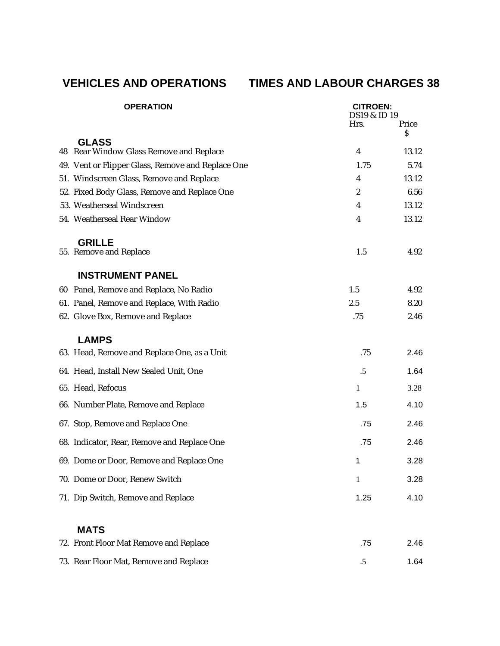# **VEHICLES AND OPERATIONS TIMES AND LABOUR CHARGES 38**

| <b>OPERATION</b>                                  | <b>CITROEN:</b><br><b>DS19 &amp; ID19</b> |       |
|---------------------------------------------------|-------------------------------------------|-------|
|                                                   | Hrs.                                      | Price |
| <b>GLASS</b>                                      |                                           | \$    |
| 48 Rear Window Glass Remove and Replace           | $\overline{4}$                            | 13.12 |
| 49. Vent or Flipper Glass, Remove and Replace One | 1.75                                      | 5.74  |
| 51. Windscreen Glass, Remove and Replace          | $\overline{\mathbf{4}}$                   | 13.12 |
| 52. Fixed Body Glass, Remove and Replace One      | $\boldsymbol{2}$                          | 6.56  |
| 53. Weatherseal Windscreen                        | 4                                         | 13.12 |
| 54. Weatherseal Rear Window                       | 4                                         | 13.12 |
| <b>GRILLE</b>                                     |                                           |       |
| 55. Remove and Replace                            | 1.5                                       | 4.92  |
| <b>INSTRUMENT PANEL</b>                           |                                           |       |
| 60 Panel, Remove and Replace, No Radio            | 1.5                                       | 4.92  |
| 61. Panel, Remove and Replace, With Radio         | 2.5                                       | 8.20  |
| 62. Glove Box, Remove and Replace                 | .75                                       | 2.46  |
| <b>LAMPS</b>                                      |                                           |       |
| 63. Head, Remove and Replace One, as a Unit       | .75                                       | 2.46  |
| 64. Head, Install New Sealed Unit, One            | .5                                        | 1.64  |
| 65. Head, Refocus                                 | 1                                         | 3.28  |
| 66. Number Plate, Remove and Replace              | 1.5                                       | 4.10  |
| 67. Stop, Remove and Replace One                  | .75                                       | 2.46  |
| 68. Indicator, Rear, Remove and Replace One       | .75                                       | 2.46  |
| 69. Dome or Door, Remove and Replace One          | 1                                         | 3.28  |
| 70. Dome or Door, Renew Switch                    | 1                                         | 3.28  |
| 71. Dip Switch, Remove and Replace                | 1.25                                      | 4.10  |
| <b>MATS</b>                                       |                                           |       |
| 72. Front Floor Mat Remove and Replace            | .75                                       | 2.46  |
| 73. Rear Floor Mat, Remove and Replace            | .5                                        | 1.64  |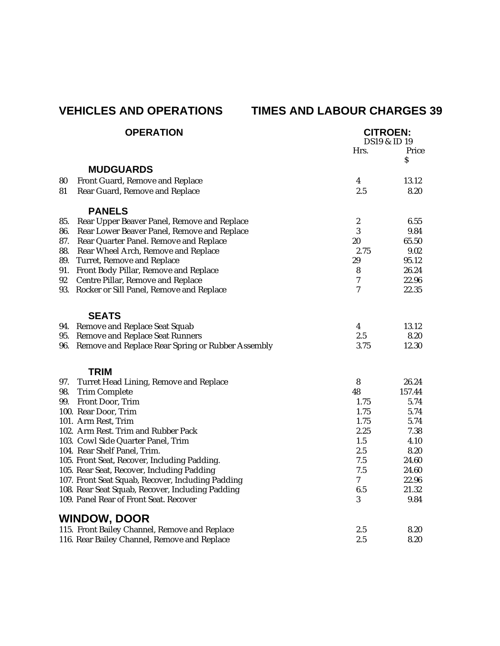# **VEHICLES AND OPERATIONS TIMES AND LABOUR CHARGES 39**

| <b>OPERATION</b> |                                                   | <b>CITROEN:</b><br><b>DS19 &amp; ID19</b> |             |
|------------------|---------------------------------------------------|-------------------------------------------|-------------|
|                  |                                                   | Hrs.                                      | Price       |
|                  |                                                   |                                           | $\mathbf S$ |
|                  | <b>MUDGUARDS</b>                                  |                                           |             |
| 80               | Front Guard, Remove and Replace                   | 4                                         | 13.12       |
| 81               | Rear Guard, Remove and Replace                    | 2.5                                       | 8.20        |
|                  | <b>PANELS</b>                                     |                                           |             |
| 85.              | Rear Upper Beaver Panel, Remove and Replace       | $\boldsymbol{2}$                          | 6.55        |
| 86.              | Rear Lower Beaver Panel, Remove and Replace       | 3                                         | 9.84        |
| 87.              | Rear Quarter Panel. Remove and Replace            | 20                                        | 65.50       |
| 88.              | Rear Wheel Arch, Remove and Replace               | 2.75                                      | 9.02        |
| 89.              | <b>Turret, Remove and Replace</b>                 | 29                                        | 95.12       |
| 91.              | Front Body Pillar, Remove and Replace             | 8                                         | 26.24       |
| 92               | Centre Pillar, Remove and Replace                 | 7                                         | 22.96       |
| 93.              | Rocker or Sill Panel, Remove and Replace          | $\boldsymbol{7}$                          | 22.35       |
|                  | <b>SEATS</b>                                      |                                           |             |
| 94.              | <b>Remove and Replace Seat Squab</b>              | $\boldsymbol{4}$                          | 13.12       |
| 95.              | <b>Remove and Replace Seat Runners</b>            | 2.5                                       | 8.20        |
| 96.              | Remove and Replace Rear Spring or Rubber Assembly | 3.75                                      | 12.30       |
|                  | <b>TRIM</b>                                       |                                           |             |
| 97.              | Turret Head Lining, Remove and Replace            | 8                                         | 26.24       |
| 98.              | <b>Trim Complete</b>                              | 48                                        | 157.44      |
| 99.              | Front Door, Trim                                  | 1.75                                      | 5.74        |
|                  | 100. Rear Door, Trim                              | 1.75                                      | 5.74        |
|                  | 101. Arm Rest, Trim                               | 1.75                                      | 5.74        |
|                  | 102. Arm Rest. Trim and Rubber Pack               | 2.25                                      | 7.38        |
|                  | 103. Cowl Side Quarter Panel, Trim                | 1.5                                       | 4.10        |
|                  | 104. Rear Shelf Panel, Trim.                      | 2.5                                       | 8.20        |
|                  | 105. Front Seat, Recover, Including Padding.      | 7.5                                       | 24.60       |
|                  | 105. Rear Seat, Recover, Including Padding        | 7.5                                       | 24.60       |
|                  | 107. Front Seat Squab, Recover, Including Padding | 7                                         | 22.96       |
|                  | 108. Rear Seat Squab, Recover, Including Padding  | 6.5                                       | 21.32       |
|                  | 109. Panel Rear of Front Seat. Recover            | 3                                         | 9.84        |
|                  | <b>WINDOW, DOOR</b>                               |                                           |             |
|                  | 115. Front Bailey Channel, Remove and Replace     | 2.5                                       | 8.20        |
|                  | 116. Rear Bailey Channel, Remove and Replace      | 2.5                                       | 8.20        |